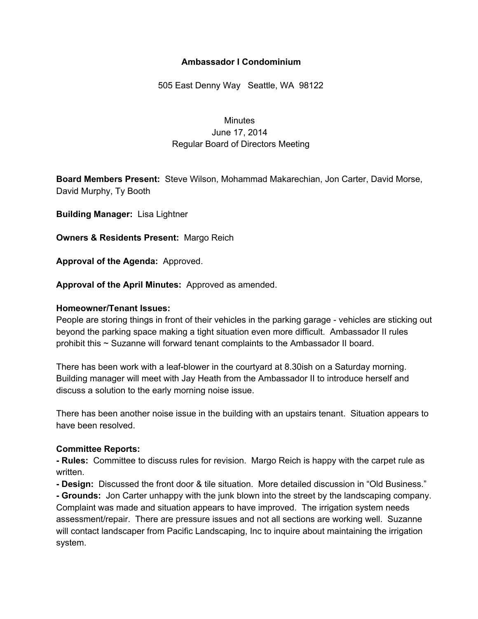# **Ambassador I Condominium**

505 East Denny Way Seattle, WA 98122

# **Minutes** June 17, 2014 Regular Board of Directors Meeting

**Board Members Present:** Steve Wilson, Mohammad Makarechian, Jon Carter, David Morse, David Murphy, Ty Booth

**Building Manager:** Lisa Lightner

**Owners & Residents Present:** Margo Reich

**Approval of the Agenda:** Approved.

**Approval of the April Minutes:** Approved as amended.

## **Homeowner/Tenant Issues:**

People are storing things in front of their vehicles in the parking garage - vehicles are sticking out beyond the parking space making a tight situation even more difficult. Ambassador II rules prohibit this ~ Suzanne will forward tenant complaints to the Ambassador II board.

There has been work with a leaf-blower in the courtyard at 8.30 ish on a Saturday morning. Building manager will meet with Jay Heath from the Ambassador II to introduce herself and discuss a solution to the early morning noise issue.

There has been another noise issue in the building with an upstairs tenant. Situation appears to have been resolved.

#### **Committee Reports:**

 **Rules:** Committee to discuss rules for revision. Margo Reich is happy with the carpet rule as written.

**Design:** Discussed the front door & tile situation. More detailed discussion in "Old Business."

 **Grounds:** Jon Carter unhappy with the junk blown into the street by the landscaping company. Complaint was made and situation appears to have improved. The irrigation system needs assessment/repair. There are pressure issues and not all sections are working well. Suzanne will contact landscaper from Pacific Landscaping, Inc to inquire about maintaining the irrigation system.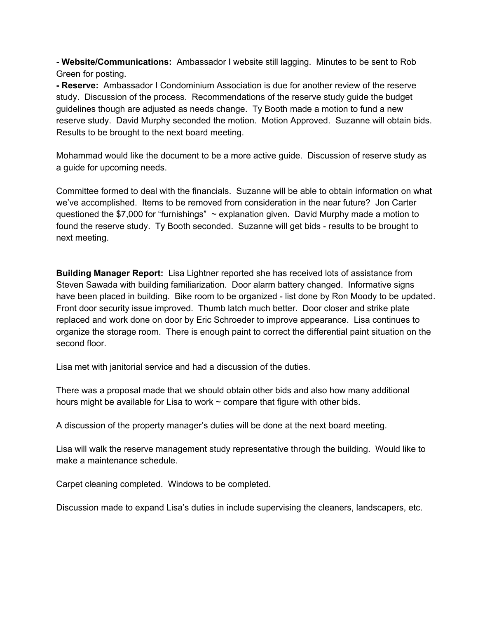**Website/Communications:** Ambassador I website still lagging. Minutes to be sent to Rob Green for posting.

 **Reserve:** Ambassador I Condominium Association is due for another review of the reserve study. Discussion of the process. Recommendations of the reserve study guide the budget guidelines though are adjusted as needs change. Ty Booth made a motion to fund a new reserve study. David Murphy seconded the motion. Motion Approved. Suzanne will obtain bids. Results to be brought to the next board meeting.

Mohammad would like the document to be a more active guide. Discussion of reserve study as a guide for upcoming needs.

Committee formed to deal with the financials. Suzanne will be able to obtain information on what we've accomplished. Items to be removed from consideration in the near future? Jon Carter questioned the \$7,000 for "furnishings" ~ explanation given. David Murphy made a motion to found the reserve study. Ty Booth seconded. Suzanne will get bids - results to be brought to next meeting.

**Building Manager Report:** Lisa Lightner reported she has received lots of assistance from Steven Sawada with building familiarization. Door alarm battery changed. Informative signs have been placed in building. Bike room to be organized - list done by Ron Moody to be updated. Front door security issue improved. Thumb latch much better. Door closer and strike plate replaced and work done on door by Eric Schroeder to improve appearance. Lisa continues to organize the storage room. There is enough paint to correct the differential paint situation on the second floor.

Lisa met with janitorial service and had a discussion of the duties.

There was a proposal made that we should obtain other bids and also how many additional hours might be available for Lisa to work  $\sim$  compare that figure with other bids.

A discussion of the property manager's duties will be done at the next board meeting.

Lisa will walk the reserve management study representative through the building. Would like to make a maintenance schedule.

Carpet cleaning completed. Windows to be completed.

Discussion made to expand Lisa's duties in include supervising the cleaners, landscapers, etc.